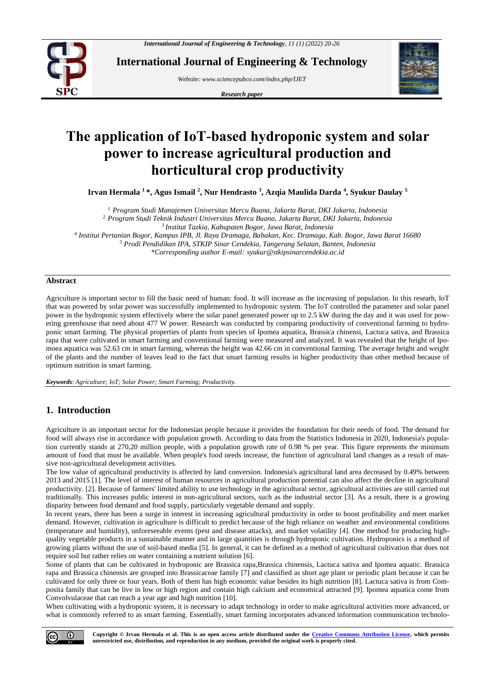

**International Journal of Engineering & Technology**

*Website: www.sciencepubco.com/index.php/IJET* 

*Research paper*



# **The application of IoT-based hydroponic system and solar power to increase agricultural production and horticultural crop productivity**

**Irvan Hermala <sup>1</sup> \*, Agus Ismail <sup>2</sup> , Nur Hendrasto <sup>3</sup> , Azqia Maulida Darda <sup>4</sup> , Syukur Daulay <sup>5</sup>**

 *Program Studi Manajemen Universitas Mercu Buana, Jakarta Barat, DKI Jakarta, Indonesia Program Studi Teknik Industri Universitas Mercu Buana, Jakarta Barat, DKI Jakarta, Indonesia Institut Tazkia, Kabupaten Bogor, Jawa Barat, Indonesia Institut Pertanian Bogor, Kampus IPB, Jl. Raya Dramaga, Babakan, Kec. Dramaga, Kab. Bogor, Jawa Barat 16680 Prodi Pendidikan IPA, STKIP Sinar Cendekia, Tangerang Selatan, Banten, Indonesia \*Corresponding author E-mail: syukur@stkipsinarcendekia.ac.id*

#### **Abstract**

Agriculture is important sector to fill the basic need of human: food. It will increase as the increasing of population. In this researh, IoT that was powered by solar power was successfully implemented to hydroponic system. The IoT controlled the parameter and solar panel power in the hydroponic system effectively where the solar panel generated power up to 2.5 kW during the day and it was used for powering greenhouse that need about 477 W power. Research was conducted by comparing productivity of conventional farming to hydroponic smart farming. The physical properties of plants from species of Ipomea aquatica, Brassica chinensi, Lactuca sativa, and Brassica rapa that were cultivated in smart farming and conventional farming were measured and analyzed. It was revealed that the height of Ipomoea aquatica was 52.63 cm in smart farming, whereas the height was 42.66 cm in conventional farming. The average height and weight of the plants and the number of leaves lead to the fact that smart farming results in higher productivity than other method because of optimum nutrition in smart farming.

*Keywords*: *Agriculture; IoT; Solar Power; Smart Farming; Productivity.*

## **1. Introduction**

Agriculture is an important sector for the Indonesian people because it provides the foundation for their needs of food. The demand for food will always rise in accordance with population growth. According to data from the Statistics Indonesia in 2020, Indonesia's population currently stands at 270,20 million people, with a population growth rate of 0.98 % per year. This figure represents the minimum amount of food that must be available. When people's food needs increase, the function of agricultural land changes as a result of massive non-agricultural development activities.

The low value of agricultural productivity is affected by land conversion. Indonesia's agricultural land area decreased by 0.49% between 2013 and 2015 [1]. The level of interest of human resources in agricultural production potential can also affect the decline in agricultural productivity. [2]. Because of farmers' limited ability to use technology in the agricultural sector, agricultural activities are still carried out traditionally. This increases public interest in non-agricultural sectors, such as the industrial sector [3]. As a result, there is a growing disparity between food demand and food supply, particularly vegetable demand and supply.

In recent years, there has been a surge in interest in increasing agricultural productivity in order to boost profitability and meet market demand. However, cultivation in agriculture is difficult to predict because of the high reliance on weather and environmental conditions (temperature and humidity), unforeseeable events (pest and disease attacks), and market volatility [4]. One method for producing highquality vegetable products in a sustainable manner and in large quantities is through hydroponic cultivation. Hydroponics is a method of growing plants without the use of soil-based media [5]. In general, it can be defined as a method of agricultural cultivation that does not require soil but rather relies on water containing a nutrient solution [6].

Some of plants that can be cultivated in hydroponic are Brassica rapa,Brassica chinensis, Lactuca sativa and Ipomea aquatic. Brassica rapa and Brassica chinensis are grouped into Brassicaceae family [7] and classified as short age plant or periodic plant because it can be cultivated for only three or four years. Both of them has high economic value besides its high nutrition [8]. Lactuca sativa is from Composita family that can be live in low or high region and contain high calcium and economical attracted [9]. Ipomea aquatica come from Convolvulaceae that can reach a year age and high nutrition [10].

When cultivating with a hydroponic system, it is necessary to adapt technology in order to make agricultural activities more advanced, or what is commonly referred to as smart farming. Essentially, smart farming incorporates advanced information communication technolo-

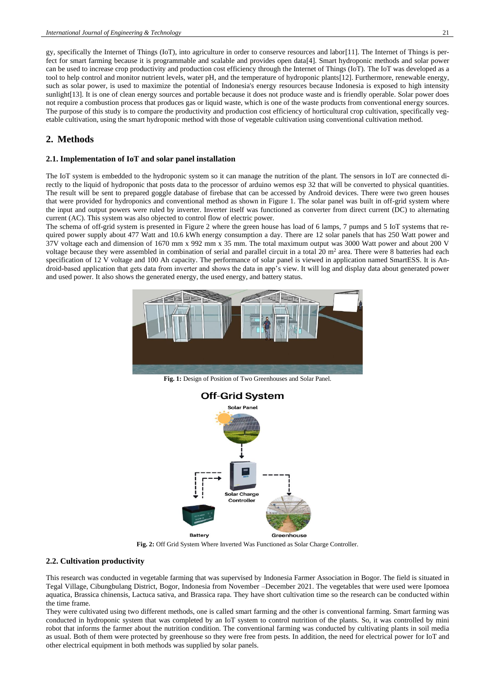gy, specifically the Internet of Things (IoT), into agriculture in order to conserve resources and labor[11]. The Internet of Things is perfect for smart farming because it is programmable and scalable and provides open data[4]. Smart hydroponic methods and solar power can be used to increase crop productivity and production cost efficiency through the Internet of Things (IoT). The IoT was developed as a tool to help control and monitor nutrient levels, water pH, and the temperature of hydroponic plants[12]. Furthermore, renewable energy, such as solar power, is used to maximize the potential of Indonesia's energy resources because Indonesia is exposed to high intensity sunlight[13]. It is one of clean energy sources and portable because it does not produce waste and is friendly operable. Solar power does not require a combustion process that produces gas or liquid waste, which is one of the waste products from conventional energy sources. The purpose of this study is to compare the productivity and production cost efficiency of horticultural crop cultivation, specifically vegetable cultivation, using the smart hydroponic method with those of vegetable cultivation using conventional cultivation method.

## **2. Methods**

#### **2.1. Implementation of IoT and solar panel installation**

The IoT system is embedded to the hydroponic system so it can manage the nutrition of the plant. The sensors in IoT are connected directly to the liquid of hydroponic that posts data to the processor of arduino wemos esp 32 that will be converted to physical quantities. The result will be sent to prepared goggle database of firebase that can be accessed by Android devices. There were two green houses that were provided for hydroponics and conventional method as shown in Figure 1. The solar panel was built in off-grid system where the input and output powers were ruled by inverter. Inverter itself was functioned as converter from direct current (DC) to alternating current (AC). This system was also objected to control flow of electric power.

The schema of off-grid system is presented in Figure 2 where the green house has load of 6 lamps, 7 pumps and 5 IoT systems that required power supply about 477 Watt and 10.6 kWh energy consumption a day. There are 12 solar panels that has 250 Watt power and 37V voltage each and dimension of 1670 mm x 992 mm x 35 mm. The total maximum output was 3000 Watt power and about 200 V voltage because they were assembled in combination of serial and parallel circuit in a total  $20 \text{ m}^2$  area. There were 8 batteries had each specification of 12 V voltage and 100 Ah capacity. The performance of solar panel is viewed in application named SmartESS. It is Android-based application that gets data from inverter and shows the data in app's view. It will log and display data about generated power and used power. It also shows the generated energy, the used energy, and battery status.



**Fig. 1:** Design of Position of Two Greenhouses and Solar Panel.



**Fig. 2:** Off Grid System Where Inverted Was Functioned as Solar Charge Controller.

### **2.2. Cultivation productivity**

This research was conducted in vegetable farming that was supervised by Indonesia Farmer Association in Bogor. The field is situated in Tegal Village, Cibungbulang District, Bogor, Indonesia from November –December 2021. The vegetables that were used were Ipomoea aquatica, Brassica chinensis, Lactuca sativa, and Brassica rapa. They have short cultivation time so the research can be conducted within the time frame.

They were cultivated using two different methods, one is called smart farming and the other is conventional farming. Smart farming was conducted in hydroponic system that was completed by an IoT system to control nutrition of the plants. So, it was controlled by mini robot that informs the farmer about the nutrition condition. The conventional farming was conducted by cultivating plants in soil media as usual. Both of them were protected by greenhouse so they were free from pests. In addition, the need for electrical power for IoT and other electrical equipment in both methods was supplied by solar panels.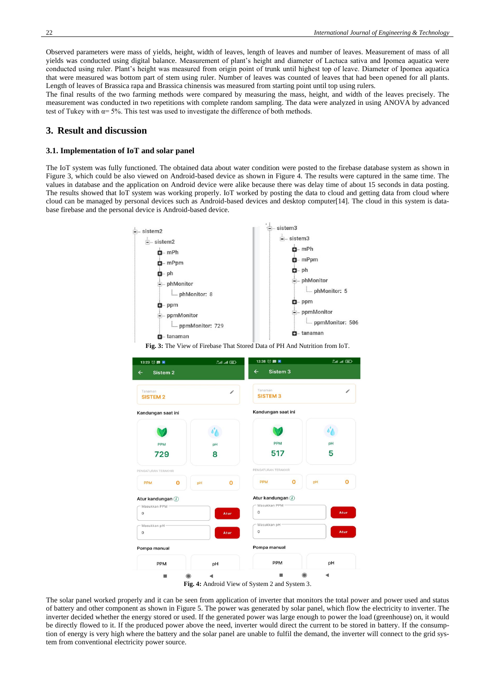Observed parameters were mass of yields, height, width of leaves, length of leaves and number of leaves. Measurement of mass of all yields was conducted using digital balance. Measurement of plant's height and diameter of Lactuca sativa and Ipomea aquatica were conducted using ruler. Plant's height was measured from origin point of trunk until highest top of leave. Diameter of Ipomea aquatica that were measured was bottom part of stem using ruler. Number of leaves was counted of leaves that had been opened for all plants. Length of leaves of Brassica rapa and Brassica chinensis was measured from starting point until top using rulers.

The final results of the two farming methods were compared by measuring the mass, height, and width of the leaves precisely. The measurement was conducted in two repetitions with complete random sampling. The data were analyzed in using ANOVA by advanced test of Tukey with  $\alpha = 5\%$ . This test was used to investigate the difference of both methods.

#### **3. Result and discussion**

#### **3.1. Implementation of IoT and solar panel**

The IoT system was fully functioned. The obtained data about water condition were posted to the firebase database system as shown in Figure 3, which could be also viewed on Android-based device as shown in Figure 4. The results were captured in the same time. The values in database and the application on Android device were alike because there was delay time of about 15 seconds in data posting. The results showed that IoT system was working properly. IoT worked by posting the data to cloud and getting data from cloud where cloud can be managed by personal devices such as Android-based devices and desktop computer[14]. The cloud in this system is database firebase and the personal device is Android-based device.



**Fig. 3:** The View of Firebase That Stored Data of PH And Nutrition from IoT.



The solar panel worked properly and it can be seen from application of inverter that monitors the total power and power used and status of battery and other component as shown in Figure 5. The power was generated by solar panel, which flow the electricity to inverter. The inverter decided whether the energy stored or used. If the generated power was large enough to power the load (greenhouse) on, it would be directly flowed to it. If the produced power above the need, inverter would direct the current to be stored in battery. If the consumption of energy is very high where the battery and the solar panel are unable to fulfil the demand, the inverter will connect to the grid system from conventional electricity power source.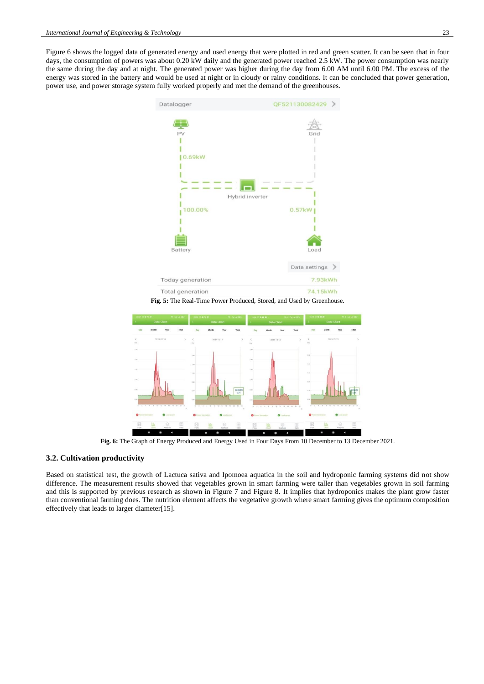Figure 6 shows the logged data of generated energy and used energy that were plotted in red and green scatter. It can be seen that in four days, the consumption of powers was about 0.20 kW daily and the generated power reached 2.5 kW. The power consumption was nearly the same during the day and at night. The generated power was higher during the day from 6.00 AM until 6.00 PM. The excess of the energy was stored in the battery and would be used at night or in cloudy or rainy conditions. It can be concluded that power generation, power use, and power storage system fully worked properly and met the demand of the greenhouses.



**Fig. 5:** The Real-Time Power Produced, Stored, and Used by Greenhouse.



**Fig. 6:** The Graph of Energy Produced and Energy Used in Four Days From 10 December to 13 December 2021.

#### **3.2. Cultivation productivity**

Based on statistical test, the growth of Lactuca sativa and Ipomoea aquatica in the soil and hydroponic farming systems did not show difference. The measurement results showed that vegetables grown in smart farming were taller than vegetables grown in soil farming and this is supported by previous research as shown in Figure 7 and Figure 8. It implies that hydroponics makes the plant grow faster than conventional farming does. The nutrition element affects the vegetative growth where smart farming gives the optimum composition effectively that leads to larger diameter[15].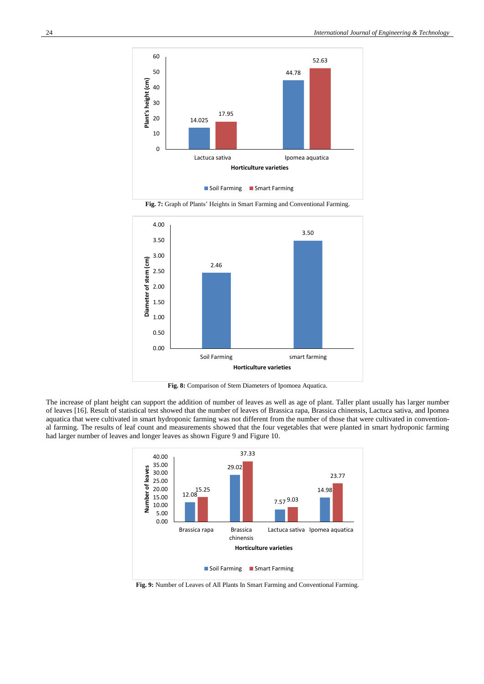

**Fig. 7:** Graph of Plants' Heights in Smart Farming and Conventional Farming.



**Fig. 8:** Comparison of Stem Diameters of Ipomoea Aquatica.

The increase of plant height can support the addition of number of leaves as well as age of plant. Taller plant usually has larger number of leaves [16]. Result of statistical test showed that the number of leaves of Brassica rapa, Brassica chinensis, Lactuca sativa, and Ipomea aquatica that were cultivated in smart hydroponic farming was not different from the number of those that were cultivated in conventional farming. The results of leaf count and measurements showed that the four vegetables that were planted in smart hydroponic farming had larger number of leaves and longer leaves as shown Figure 9 and Figure 10.



**Fig. 9:** Number of Leaves of All Plants In Smart Farming and Conventional Farming.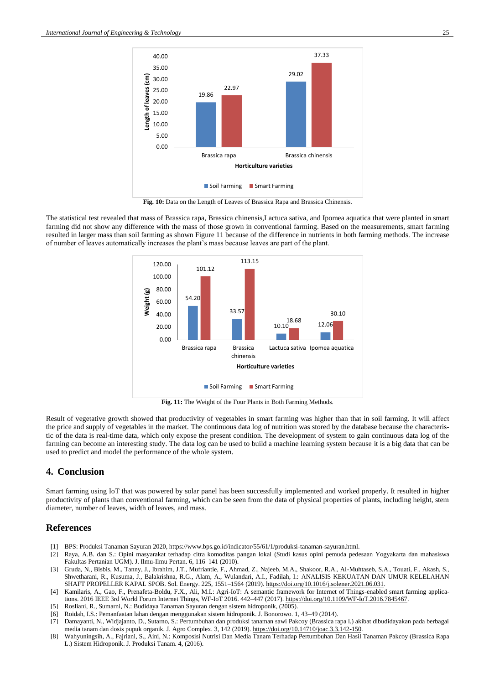

**Fig. 10:** Data on the Length of Leaves of Brassica Rapa and Brassica Chinensis.

The statistical test revealed that mass of Brassica rapa, Brassica chinensis,Lactuca sativa, and Ipomea aquatica that were planted in smart farming did not show any difference with the mass of those grown in conventional farming. Based on the measurements, smart farming resulted in larger mass than soil farming as shown Figure 11 because of the difference in nutrients in both farming methods. The increase of number of leaves automatically increases the plant's mass because leaves are part of the plant.



**Fig. 11:** The Weight of the Four Plants in Both Farming Methods.

Result of vegetative growth showed that productivity of vegetables in smart farming was higher than that in soil farming. It will affect the price and supply of vegetables in the market. The continuous data log of nutrition was stored by the database because the characteristic of the data is real-time data, which only expose the present condition. The development of system to gain continuous data log of the farming can become an interesting study. The data log can be used to build a machine learning system because it is a big data that can be used to predict and model the performance of the whole system.

#### **4. Conclusion**

Smart farming using IoT that was powered by solar panel has been successfully implemented and worked properly. It resulted in higher productivity of plants than conventional farming, which can be seen from the data of physical properties of plants, including height, stem diameter, number of leaves, width of leaves, and mass.

#### **References**

- [1] BPS: Produksi Tanaman Sayuran 2020, https://www.bps.go.id/indicator/55/61/1/produksi-tanaman-sayuran.html.
- [2] Raya, A.B. dan S.: Opini masyarakat terhadap citra komoditas pangan lokal (Studi kasus opini pemuda pedesaan Yogyakarta dan mahasiswa Fakultas Pertanian UGM). J. Ilmu-Ilmu Pertan. 6, 116–141 (2010).
- [3] Gruda, N., Bisbis, M., Tanny, J., Ibrahim, J.T., Mufriantie, F., Ahmad, Z., Najeeb, M.A., Shakoor, R.A., Al-Muhtaseb, S.A., Touati, F., Akash, S. Shwetharani, R., Kusuma, J., Balakrishna, R.G., Alam, A., Wulandari, A.I., Fadilah, I.: ANALISIS KEKUATAN DAN UMUR KELELAHAN SHAFT PROPELLER KAPAL SPOB. Sol. Energy. 225, 1551–1564 (2019)[. https://doi.org/10.1016/j.solener.2021.06.031.](https://doi.org/10.1016/j.solener.2021.06.031)
- [4] Kamilaris, A., Gao, F., Prenafeta-Boldu, F.X., Ali, M.I.: Agri-IoT: A semantic framework for Internet of Things-enabled smart farming applications. 2016 IEEE 3rd World Forum Internet Things, WF-IoT 2016. 442–447 (2017)[. https://doi.org/10.1109/WF-IoT.2016.7845467.](https://doi.org/10.1109/WF-IoT.2016.7845467)
- [5] Rosliani, R., Sumarni, N.: Budidaya Tanaman Sayuran dengan sistem hidroponik, (2005).
- [6] Roidah, I.S.: Pemanfaatan lahan dengan menggunakan sistem hidroponik. J. Bonorowo. 1, 43–49 (2014).
- [7] Damayanti, N., Widjajanto, D., Sutarno, S.: Pertumbuhan dan produksi tanaman sawi Pakcoy (Brassica rapa l.) akibat dibudidayakan pada berbagai media tanam dan dosis pupuk organik. J. Agro Complex. 3, 142 (2019). [https://doi.org/10.14710/joac.3.3.142-150.](https://doi.org/10.14710/joac.3.3.142-150)
- [8] Wahyuningsih, A., Fajriani, S., Aini, N.: Komposisi Nutrisi Dan Media Tanam Terhadap Pertumbuhan Dan Hasil Tanaman Pakcoy (Brassica Rapa L.) Sistem Hidroponik. J. Produksi Tanam. 4, (2016).